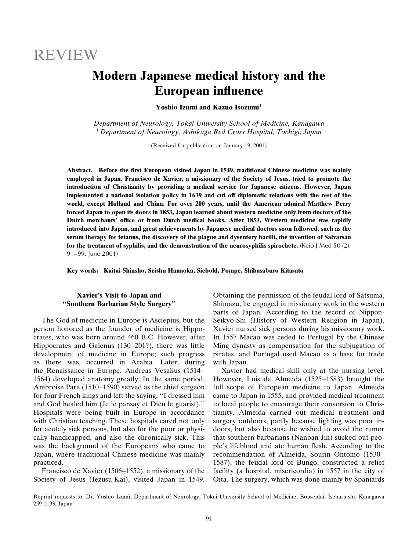# **REVIEW**

## **Modern Japanese medical history and the European influence**

Yoshio Izumi and Kazuo Isozumi<sup>1</sup>

Department of Neurology, Tokai University School of Medicine, Kanagawa <sup>1</sup> Department of Neurology, Ashikaga Red Cross Hospital, Tochigi, Japan

(Received for publication on January 19, 2001)

Abstract. Before the first European visited Japan in 1549, traditional Chinese medicine was mainly employed in Japan. Francisco de Xavier, a missionary of the Society of Jesus, tried to promote the introduction of Christianity by providing a medical service for Japanese citizens. However, Japan implemented a national isolation policy in 1639 and cut off diplomatic relations with the rest of the world, except Holland and China. For over 200 years, until the American admiral Matthew Perry forced Japan to open its doors in 1853, Japan learned about western medicine only from doctors of the Dutch merchants' office or from Dutch medical books. After 1853, Western medicine was rapidly introduced into Japan, and great achievements by Japanese medical doctors soon followed, such as the serum therapy for tetanus, the discovery of the plague and dysentery bacilli, the invention of Salvarsan for the treatment of syphilis, and the demonstration of the neurosyphilis spirochete. (Keio J Med 50 (2): 91-99, June 2001)

Key words: Kaitai-Shinsho, Seishu Hanaoka, Siebold, Pompe, Shibasaburo Kitasato

## Xavier's Visit to Japan and "Southern Barbarian Style Surgery"

The God of medicine in Europe is Asclepius, but the person honored as the founder of medicine is Hippocrates, who was born around 460 B.C. However, after Hippocrates and Galenus (130–201?), there was little development of medicine in Europe; such progress as there was, occurred in Arabia. Later, during the Renaissance in Europe, Andreas Vesalius (1514– 1564) developed anatomy greatly. In the same period, Ambroise Paré (1510–1590) served as the chief surgeon for four French kings and left the saying, "I dressed him and God healed him (Je le pansay et Dieu le guarist)." Hospitals were being built in Europe in accordance with Christian teaching. These hospitals cared not only for acutely sick persons, but also for the poor or physically handicapped, and also the chronically sick. This was the background of the Europeans who came to Japan, where traditional Chinese medicine was mainly practiced.

Francisco de Xavier (1506–1552), a missionary of the Society of Jesus (Iezusu-Kai), visited Japan in 1549.

Obtaining the permission of the feudal lord of Satsuma, Shimazu, he engaged in missionary work in the western parts of Japan. According to the record of Nippon-Seikyo-Shi (History of Western Religion in Japan), Xavier nursed sick persons during his missionary work. In 1557 Macao was ceded to Portugal by the Chinese Ming dynasty as compensation for the subjugation of pirates, and Portugal used Macao as a base for trade with Japan.

Xavier had medical skill only at the nursing level. However, Luis de Almeida (1525–1583) brought the full scope of European medicine to Japan. Almeida came to Japan in 1555, and provided medical treatment to local people to encourage their conversion to Christianity. Almeida carried out medical treatment and surgery outdoors, partly because lighting was poor indoors, but also because he wished to avoid the rumor that southern barbarians (Nanban-Jin) sucked out people's lifeblood and ate human flesh. According to the recommendation of Almeida, Sourin Ohtomo (1530-1587), the feudal lord of Bungo, constructed a relief facility (a hospital, misericordia) in 1557 in the city of Oita. The surgery, which was done mainly by Spaniards

Reprint requests to: Dr. Yoshio Izumi, Department of Neurology, Tokai University School of Medicine, Bouseidai, Isehara-shi, Kanagawa 259-1193, Japan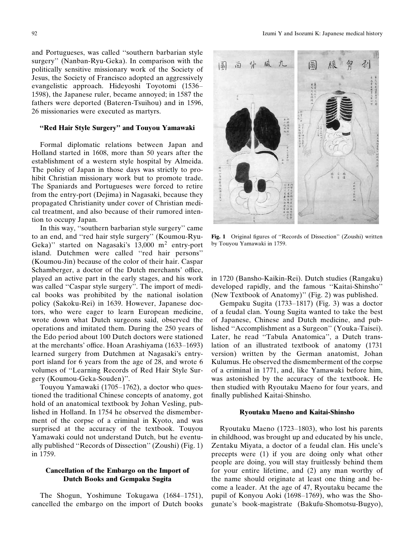and Portugueses, was called "southern barbarian style surgery" (Nanban-Ryu-Geka). In comparison with the politically sensitive missionary work of the Society of Jesus, the Society of Francisco adopted an aggressively evangelistic approach. Hideyoshi Toyotomi (1536– 1598), the Japanese ruler, became annoyed; in 1587 the fathers were deported (Bateren-Tsuihou) and in 1596, 26 missionaries were executed as martyrs.

#### "Red Hair Style Surgery" and Touyou Yamawaki

Formal diplomatic relations between Japan and Holland started in 1608, more than 50 years after the establishment of a western style hospital by Almeida. The policy of Japan in those days was strictly to prohibit Christian missionary work but to promote trade. The Spaniards and Portugueses were forced to retire from the entry-port (Dejima) in Nagasaki, because they propagated Christianity under cover of Christian medical treatment, and also because of their rumored intention to occupy Japan.

In this way, "southern barbarian style surgery" came to an end, and "red hair style surgery" (Koumou-Ryu-Geka)" started on Nagasaki's  $13,000$  m<sup>2</sup> entry-port island. Dutchmen were called "red hair persons" (Koumou-Jin) because of the color of their hair. Caspar Schamberger, a doctor of the Dutch merchants' office, played an active part in the early stages, and his work was called "Caspar style surgery". The import of medical books was prohibited by the national isolation policy (Sakoku-Rei) in 1639. However, Japanese doctors, who were eager to learn European medicine, wrote down what Dutch surgeons said, observed the operations and imitated them. During the 250 years of the Edo period about 100 Dutch doctors were stationed at the merchants' office. Hoan Arashiyama (1633–1693) learned surgery from Dutchmen at Nagasaki's entryport island for 6 years from the age of 28, and wrote 6 volumes of "Learning Records of Red Hair Style Surgery (Koumou-Geka-Souden)".

Touyou Yamawaki (1705–1762), a doctor who questioned the traditional Chinese concepts of anatomy, got hold of an anatomical textbook by Johan Vesling, published in Holland. In 1754 he observed the dismemberment of the corpse of a criminal in Kyoto, and was surprised at the accuracy of the textbook. Touyou Yamawaki could not understand Dutch, but he eventually published "Records of Dissection" (Zoushi) (Fig. 1) in 1759.

## Cancellation of the Embargo on the Import of **Dutch Books and Gempaku Sugita**

The Shogun, Yoshimune Tokugawa (1684–1751), cancelled the embargo on the import of Dutch books



Fig. 1 Original figures of "Records of Dissection" (Zoushi) written by Touyou Yamawaki in 1759.

in 1720 (Bansho-Kaikin-Rei). Dutch studies (Rangaku) developed rapidly, and the famous "Kaitai-Shinsho" (New Textbook of Anatomy)" (Fig. 2) was published.

Gempaku Sugita (1733–1817) (Fig. 3) was a doctor of a feudal clan. Young Sugita wanted to take the best of Japanese, Chinese and Dutch medicine, and published "Accomplishment as a Surgeon" (Youka-Taisei). Later, he read "Tabula Anatomica", a Dutch translation of an illustrated textbook of anatomy (1731) version) written by the German anatomist, Johan Kulumus. He observed the dismemberment of the corpse of a criminal in 1771, and, like Yamawaki before him, was astonished by the accuracy of the textbook. He then studied with Ryoutaku Maeno for four years, and finally published Kaitai-Shinsho.

#### Ryoutaku Maeno and Kaitai-Shinsho

Ryoutaku Maeno (1723–1803), who lost his parents in childhood, was brought up and educated by his uncle, Zentaku Miyata, a doctor of a feudal clan. His uncle's precepts were (1) if you are doing only what other people are doing, you will stay fruitlessly behind them for your entire lifetime, and (2) any man worthy of the name should originate at least one thing and become a leader. At the age of 47, Ryoutaku became the pupil of Konyou Aoki (1698–1769), who was the Shogunate's book-magistrate (Bakufu-Shomotsu-Bugyo),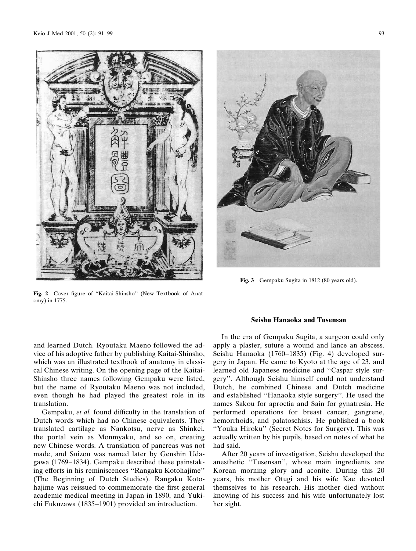

Fig. 2 Cover figure of "Kaitai-Shinsho" (New Textbook of Anatomy) in 1775.



Fig. 3 Gempaku Sugita in 1812 (80 years old).

and learned Dutch. Ryoutaku Maeno followed the advice of his adoptive father by publishing Kaitai-Shinsho, which was an illustrated textbook of anatomy in classical Chinese writing. On the opening page of the Kaitai-Shinsho three names following Gempaku were listed, but the name of Ryoutaku Maeno was not included, even though he had played the greatest role in its translation.

Gempaku, et al. found difficulty in the translation of Dutch words which had no Chinese equivalents. They translated cartilage as Nankotsu, nerve as Shinkei, the portal vein as Monmyaku, and so on, creating new Chinese words. A translation of pancreas was not made, and Suizou was named later by Genshin Udagawa (1769–1834). Gempaku described these painstaking efforts in his reminiscences "Rangaku Kotohajime" (The Beginning of Dutch Studies). Rangaku Kotohajime was reissued to commemorate the first general academic medical meeting in Japan in 1890, and Yukichi Fukuzawa (1835–1901) provided an introduction.

#### **Seishu Hanaoka and Tusensan**

In the era of Gempaku Sugita, a surgeon could only apply a plaster, suture a wound and lance an abscess. Seishu Hanaoka (1760–1835) (Fig. 4) developed surgery in Japan. He came to Kyoto at the age of 23, and learned old Japanese medicine and "Caspar style surgery". Although Seishu himself could not understand Dutch, he combined Chinese and Dutch medicine and established "Hanaoka style surgery". He used the names Sakou for aproctia and Sain for gynatresia. He performed operations for breast cancer, gangrene, hemorrhoids, and palatoschisis. He published a book "Youka Hiroku" (Secret Notes for Surgery). This was actually written by his pupils, based on notes of what he had said.

After 20 years of investigation, Seishu developed the anesthetic "Tusensan", whose main ingredients are Korean morning glory and aconite. During this 20 years, his mother Otugi and his wife Kae devoted themselves to his research. His mother died without knowing of his success and his wife unfortunately lost her sight.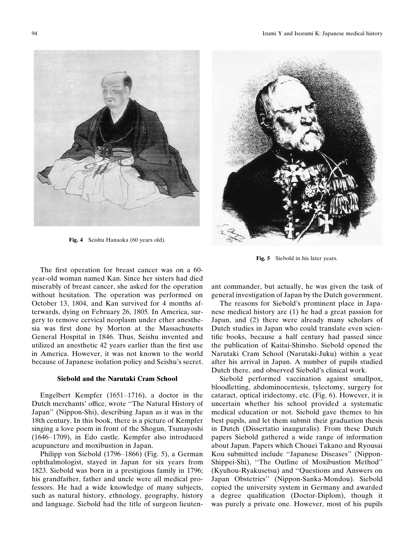

Fig. 4 Seishu Hanaoka (60 years old).



Fig. 5 Siebold in his later years.

The first operation for breast cancer was on a 60year-old woman named Kan. Since her sisters had died miserably of breast cancer, she asked for the operation without hesitation. The operation was performed on October 13, 1804, and Kan survived for 4 months afterwards, dying on February 26, 1805. In America, surgery to remove cervical neoplasm under ether anesthesia was first done by Morton at the Massachusetts General Hospital in 1846. Thus, Seishu invented and utilized an anesthetic 42 years earlier than the first use in America. However, it was not known to the world because of Japanese isolation policy and Seishu's secret.

### Siebold and the Narutaki Cram School

Engelbert Kempfer (1651-1716), a doctor in the Dutch merchants' office, wrote "The Natural History of Japan" (Nippon-Shi), describing Japan as it was in the 18th century. In this book, there is a picture of Kempfer singing a love poem in front of the Shogun, Tsunayoshi (1646-1709), in Edo castle. Kempfer also introduced acupuncture and moxibustion in Japan.

Philipp von Siebold (1796–1866) (Fig. 5), a German ophthalmologist, stayed in Japan for six years from 1823. Siebold was born in a prestigious family in 1796; his grandfather, father and uncle were all medical professors. He had a wide knowledge of many subjects, such as natural history, ethnology, geography, history and language. Siebold had the title of surgeon lieutenant commander, but actually, he was given the task of general investigation of Japan by the Dutch government.

The reasons for Siebold's prominent place in Japanese medical history are (1) he had a great passion for Japan, and (2) there were already many scholars of Dutch studies in Japan who could translate even scientific books, because a half century had passed since the publication of Kaitai-Shinsho. Siebold opened the Narutaki Cram School (Narutaki-Juku) within a year after his arrival in Japan. A number of pupils studied Dutch there, and observed Siebold's clinical work.

Siebold performed vaccination against smallpox, bloodletting, abdominocentesis, tylectomy, surgery for cataract, optical iridectomy, etc. (Fig. 6). However, it is uncertain whether his school provided a systematic medical education or not. Siebold gave themes to his best pupils, and let them submit their graduation thesis in Dutch (Dissertatio inauguralis). From these Dutch papers Siebold gathered a wide range of information about Japan. Papers which Chouei Takano and Ryousai Kou submitted include "Japanese Diseases" (Nippon-Shippei-Shi), "The Outline of Moxibustion Method" (Kyuhou-Ryakusetsu) and "Questions and Answers on Japan Obstetrics" (Nippon-Sanka-Mondou). Siebold copied the university system in Germany and awarded a degree qualification (Doctor-Diplom), though it was purely a private one. However, most of his pupils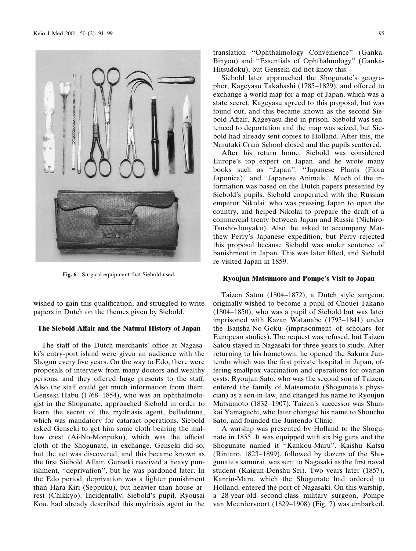

Fig. 6 Surgical equipment that Siebold used.

wished to gain this qualification, and struggled to write papers in Dutch on the themes given by Siebold.

## The Siebold Affair and the Natural History of Japan

The staff of the Dutch merchants' office at Nagasaki's entry-port island were given an audience with the Shogun every five years. On the way to Edo, there were proposals of interview from many doctors and wealthy persons, and they offered huge presents to the staff. Also the staff could get much information from them. Genseki Habu (1768-1854), who was an ophthalmologist in the Shogunate, approached Siebold in order to learn the secret of the mydriasis agent, belladonna, which was mandatory for cataract operations. Siebold asked Genseki to get him some cloth bearing the mallow crest (Ai-No-Monpuku), which was the official cloth of the Shogunate, in exchange. Genseki did so, but the act was discovered, and this became known as the first Siebold Affair. Genseki received a heavy punishment, "deprivation", but he was pardoned later. In the Edo period, deprivation was a lighter punishment than Hara-Kiri (Seppuku), but heavier than house arrest (Chikkyo). Incidentally, Siebold's pupil, Ryousai Kou, had already described this mydriasis agent in the

translation "Ophthalmology Convenience" (Ganka-Binyou) and "Essentials of Ophthalmology" (Ganka-Hitsudoku), but Genseki did not know this.

Siebold later approached the Shogunate's geographer, Kageyasu Takahashi (1785–1829), and offered to exchange a world map for a map of Japan, which was a state secret. Kageyasu agreed to this proposal, but was found out, and this became known as the second Siebold Affair. Kageyasu died in prison. Siebold was sentenced to deportation and the map was seized, but Siebold had already sent copies to Holland. After this, the Narutaki Cram School closed and the pupils scattered.

After his return home, Siebold was considered Europe's top expert on Japan, and he wrote many books such as "Japan", "Japanese Plants (Flora Japonica)" and "Japanese Animals". Much of the information was based on the Dutch papers presented by Siebold's pupils. Siebold cooperated with the Russian emperor Nikolai, who was pressing Japan to open the country, and helped Nikolai to prepare the draft of a commercial treaty between Japan and Russia (Nichiro-Tsusho-Jouyaku). Also, he asked to accompany Matthew Perry's Japanese expedition, but Perry rejected this proposal because Siebold was under sentence of banishment in Japan. This was later lifted, and Siebold re-visited Japan in 1859.

### **Ryoujun Matsumoto and Pompe's Visit to Japan**

Taizen Satou (1804–1872), a Dutch style surgeon, originally wished to become a pupil of Chouei Takano  $(1804-1850)$ , who was a pupil of Siebold but was later imprisoned with Kazan Watanabe (1793–1841) under the Bansha-No-Goku (imprisonment of scholars for European studies). The request was refused, but Taizen Satou stayed in Nagasaki for three years to study. After returning to his hometown, he opened the Sakura Juntendo which was the first private hospital in Japan, offering smallpox vaccination and operations for ovarian cysts. Ryoujun Sato, who was the second son of Taizen, entered the family of Matsumoto (Shogunate's physician) as a son-in-law, and changed his name to Ryoujun Matsumoto (1832–1907). Taizen's successor was Shunkai Yamaguchi, who later changed his name to Shouchu Sato, and founded the Juntendo Clinic.

A warship was presented by Holland to the Shogunate in 1855. It was equipped with six big guns and the Shogunate named it "Kankou-Maru". Kaishu Katsu (Rintaro, 1823–1899), followed by dozens of the Shogunate's samurai, was sent to Nagasaki as the first naval student (Kaigun-Denshu-Sei). Two years later (1857), Kanrin-Maru, which the Shogunate had ordered to Holland, entered the port of Nagasaki. On this warship, a 28-year-old second-class military surgeon, Pompe van Meerdervoort (1829–1908) (Fig. 7) was embarked.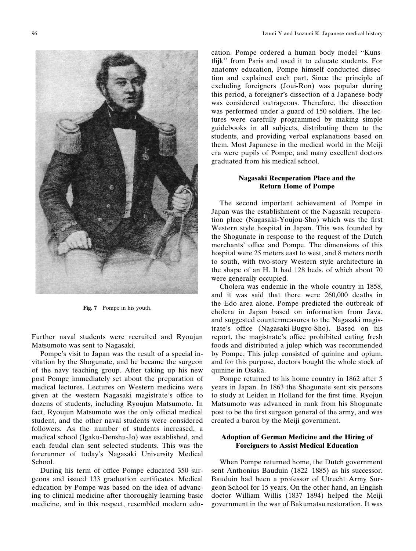

Fig. 7 Pompe in his youth.

Further naval students were recruited and Ryoujun Matsumoto was sent to Nagasaki.

Pompe's visit to Japan was the result of a special invitation by the Shogunate, and he became the surgeon of the navy teaching group. After taking up his new post Pompe immediately set about the preparation of medical lectures. Lectures on Western medicine were given at the western Nagasaki magistrate's office to dozens of students, including Ryoujun Matsumoto. In fact, Ryoujun Matsumoto was the only official medical student, and the other naval students were considered followers. As the number of students increased, a medical school (Igaku-Denshu-Jo) was established, and each feudal clan sent selected students. This was the forerunner of today's Nagasaki University Medical School.

During his term of office Pompe educated 350 surgeons and issued 133 graduation certificates. Medical education by Pompe was based on the idea of advancing to clinical medicine after thoroughly learning basic medicine, and in this respect, resembled modern edu-

cation. Pompe ordered a human body model "Kunstlijk" from Paris and used it to educate students. For anatomy education, Pompe himself conducted dissection and explained each part. Since the principle of excluding foreigners (Joui-Ron) was popular during this period, a foreigner's dissection of a Japanese body was considered outrageous. Therefore, the dissection was performed under a guard of 150 soldiers. The lectures were carefully programmed by making simple guidebooks in all subjects, distributing them to the students, and providing verbal explanations based on them. Most Japanese in the medical world in the Meiji era were pupils of Pompe, and many excellent doctors graduated from his medical school.

## **Nagasaki Recuperation Place and the Return Home of Pompe**

The second important achievement of Pompe in Japan was the establishment of the Nagasaki recuperation place (Nagasaki-Youjou-Sho) which was the first Western style hospital in Japan. This was founded by the Shogunate in response to the request of the Dutch merchants' office and Pompe. The dimensions of this hospital were 25 meters east to west, and 8 meters north to south, with two-story Western style architecture in the shape of an H. It had 128 beds, of which about 70 were generally occupied.

Cholera was endemic in the whole country in 1858, and it was said that there were 260,000 deaths in the Edo area alone. Pompe predicted the outbreak of cholera in Japan based on information from Java, and suggested countermeasures to the Nagasaki magistrate's office (Nagasaki-Bugyo-Sho). Based on his report, the magistrate's office prohibited eating fresh foods and distributed a julep which was recommended by Pompe. This julep consisted of quinine and opium, and for this purpose, doctors bought the whole stock of quinine in Osaka.

Pompe returned to his home country in 1862 after 5 years in Japan. In 1863 the Shogunate sent six persons to study at Leiden in Holland for the first time. Ryojun Matsumoto was advanced in rank from his Shogunate post to be the first surgeon general of the army, and was created a baron by the Meiji government.

## **Adoption of German Medicine and the Hiring of Foreigners to Assist Medical Education**

When Pompe returned home, the Dutch government sent Anthonius Bauduin (1822–1885) as his successor. Bauduin had been a professor of Utrecht Army Surgeon School for 15 years. On the other hand, an English doctor William Willis (1837–1894) helped the Meiji government in the war of Bakumatsu restoration. It was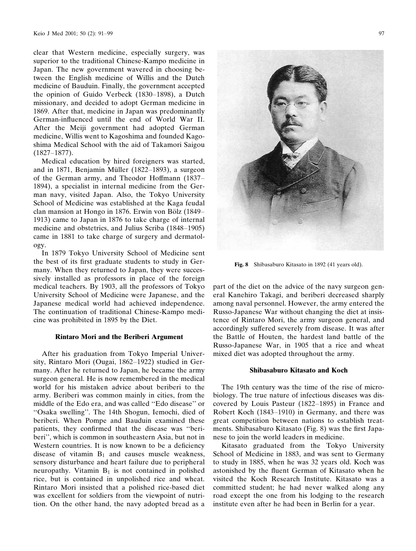clear that Western medicine, especially surgery, was superior to the traditional Chinese-Kampo medicine in Japan. The new government wavered in choosing between the English medicine of Willis and the Dutch medicine of Bauduin. Finally, the government accepted the opinion of Guido Verbeck (1830–1898), a Dutch missionary, and decided to adopt German medicine in 1869. After that, medicine in Japan was predominantly German-influenced until the end of World War II. After the Meiji government had adopted German medicine, Willis went to Kagoshima and founded Kagoshima Medical School with the aid of Takamori Saigou  $(1827 - 1877)$ .

Medical education by hired foreigners was started, and in 1871, Benjamin Müller (1822–1893), a surgeon of the German army, and Theodor Hoffmann (1837– 1894), a specialist in internal medicine from the German navy, visited Japan. Also, the Tokyo University School of Medicine was established at the Kaga feudal clan mansion at Hongo in 1876. Erwin von Bölz (1849– 1913) came to Japan in 1876 to take charge of internal medicine and obstetrics, and Julius Scriba (1848–1905) came in 1881 to take charge of surgery and dermatology.

In 1879 Tokyo University School of Medicine sent the best of its first graduate students to study in Germany. When they returned to Japan, they were successively installed as professors in place of the foreign medical teachers. By 1903, all the professors of Tokyo University School of Medicine were Japanese, and the Japanese medical world had achieved independence. The continuation of traditional Chinese-Kampo medicine was prohibited in 1895 by the Diet.

#### **Rintaro Mori and the Beriberi Argument**

After his graduation from Tokyo Imperial University, Rintaro Mori (Ougai, 1862-1922) studied in Germany. After he returned to Japan, he became the army surgeon general. He is now remembered in the medical world for his mistaken advice about beriberi to the army. Beriberi was common mainly in cities, from the middle of the Edo era, and was called "Edo disease" or "Osaka swelling". The 14th Shogun, Iemochi, died of beriberi. When Pompe and Bauduin examined these patients, they confirmed that the disease was "beriberi", which is common in southeastern Asia, but not in Western countries. It is now known to be a deficiency disease of vitamin  $B_1$  and causes muscle weakness, sensory disturbance and heart failure due to peripheral neuropathy. Vitamin  $B_1$  is not contained in polished rice, but is contained in unpolished rice and wheat. Rintaro Mori insisted that a polished rice-based diet was excellent for soldiers from the viewpoint of nutrition. On the other hand, the navy adopted bread as a



Fig. 8 Shibasaburo Kitasato in 1892 (41 years old).

part of the diet on the advice of the navy surgeon general Kanehiro Takagi, and beriberi decreased sharply among naval personnel. However, the army entered the Russo-Japanese War without changing the diet at insistence of Rintaro Mori, the army surgeon general, and accordingly suffered severely from disease. It was after the Battle of Houten, the hardest land battle of the Russo-Japanese War, in 1905 that a rice and wheat mixed diet was adopted throughout the army.

### Shibasaburo Kitasato and Koch

The 19th century was the time of the rise of microbiology. The true nature of infectious diseases was discovered by Louis Pasteur (1822–1895) in France and Robert Koch (1843–1910) in Germany, and there was great competition between nations to establish treatments. Shibasaburo Kitasato (Fig. 8) was the first Japanese to join the world leaders in medicine.

Kitasato graduated from the Tokyo University School of Medicine in 1883, and was sent to Germany to study in 1885, when he was 32 years old. Koch was astonished by the fluent German of Kitasato when he visited the Koch Research Institute. Kitasato was a committed student; he had never walked along any road except the one from his lodging to the research institute even after he had been in Berlin for a year.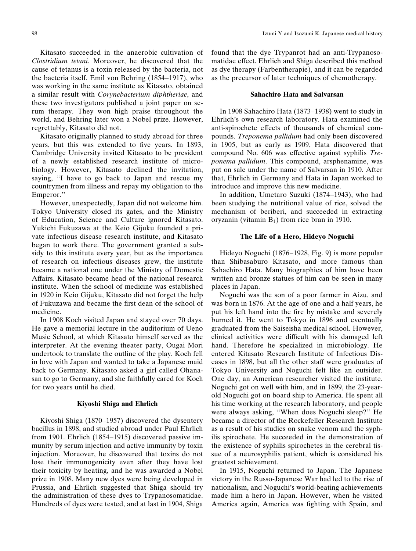Kitasato succeeded in the anaerobic cultivation of Clostridium tetani. Moreover, he discovered that the cause of tetanus is a toxin released by the bacteria, not the bacteria itself. Emil von Behring (1854–1917), who was working in the same institute as Kitasato, obtained a similar result with *Corynebacterium diphtheriae*, and these two investigators published a joint paper on serum therapy. They won high praise throughout the world, and Behring later won a Nobel prize. However, regrettably, Kitasato did not.

Kitasato originally planned to study abroad for three years, but this was extended to five years. In 1893, Cambridge University invited Kitasato to be president of a newly established research institute of microbiology. However, Kitasato declined the invitation, saying, "I have to go back to Japan and rescue my countrymen from illness and repay my obligation to the Emperor."

However, unexpectedly, Japan did not welcome him. Tokyo University closed its gates, and the Ministry of Education, Science and Culture ignored Kitasato. Yukichi Fukuzawa at the Keio Gijuku founded a private infectious disease research institute, and Kitasato began to work there. The government granted a subsidy to this institute every year, but as the importance of research on infectious diseases grew, the institute became a national one under the Ministry of Domestic Affairs. Kitasato became head of the national research institute. When the school of medicine was established in 1920 in Keio Gijuku, Kitasato did not forget the help of Fukuzawa and became the first dean of the school of medicine.

In 1908 Koch visited Japan and stayed over 70 days. He gave a memorial lecture in the auditorium of Ueno Music School, at which Kitasato himself served as the interpreter. At the evening theater party, Ougai Mori undertook to translate the outline of the play. Koch fell in love with Japan and wanted to take a Japanese maid back to Germany. Kitasato asked a girl called Ohanasan to go to Germany, and she faithfully cared for Koch for two years until he died.

## **Kiyoshi Shiga and Ehrlich**

Kiyoshi Shiga (1870–1957) discovered the dysentery bacillus in 1898, and studied abroad under Paul Ehrlich from 1901. Ehrlich (1854–1915) discovered passive immunity by serum injection and active immunity by toxin injection. Moreover, he discovered that toxins do not lose their immunogenicity even after they have lost their toxicity by heating, and he was awarded a Nobel prize in 1908. Many new dyes were being developed in Prussia, and Ehrlich suggested that Shiga should try the administration of these dyes to Trypanosomatidae. Hundreds of dyes were tested, and at last in 1904, Shiga

found that the dye Trypanrot had an anti-Trypanosomatidae effect. Ehrlich and Shiga described this method as dye therapy (Farbentherapie), and it can be regarded as the precursor of later techniques of chemotherapy.

### **Sahachiro Hata and Salvarsan**

In 1908 Sahachiro Hata (1873–1938) went to study in Ehrlich's own research laboratory. Hata examined the anti-spirochete effects of thousands of chemical compounds. Treponema pallidum had only been discovered in 1905, but as early as 1909, Hata discovered that compound No. 606 was effective against syphilis Tre*ponema pallidum.* This compound, arsphenamine, was put on sale under the name of Salvarsan in 1910. After that, Ehrlich in Germany and Hata in Japan worked to introduce and improve this new medicine.

In addition, Umetaro Suzuki (1874–1943), who had been studying the nutritional value of rice, solved the mechanism of beriberi, and succeeded in extracting oryzanin (vitamin  $B_1$ ) from rice bran in 1910.

## The Life of a Hero, Hideyo Noguchi

Hideyo Noguchi (1876–1928, Fig. 9) is more popular than Shibasaburo Kitasato, and more famous than Sahachiro Hata. Many biographies of him have been written and bronze statues of him can be seen in many places in Japan.

Noguchi was the son of a poor farmer in Aizu, and was born in 1876. At the age of one and a half years, he put his left hand into the fire by mistake and severely burned it. He went to Tokyo in 1896 and eventually graduated from the Saiseisha medical school. However, clinical activities were difficult with his damaged left hand. Therefore he specialized in microbiology. He entered Kitasato Research Institute of Infectious Diseases in 1898, but all the other staff were graduates of Tokyo University and Noguchi felt like an outsider. One day, an American researcher visited the institute. Noguchi got on well with him, and in 1899, the 23-yearold Noguchi got on board ship to America. He spent all his time working at the research laboratory, and people were always asking, "When does Noguchi sleep?" He became a director of the Rockefeller Research Institute as a result of his studies on snake venom and the syphilis spirochete. He succeeded in the demonstration of the existence of syphilis spirochetes in the cerebral tissue of a neurosyphilis patient, which is considered his greatest achievement.

In 1915, Noguchi returned to Japan. The Japanese victory in the Russo-Japanese War had led to the rise of nationalism, and Noguchi's world-beating achievements made him a hero in Japan. However, when he visited America again, America was fighting with Spain, and